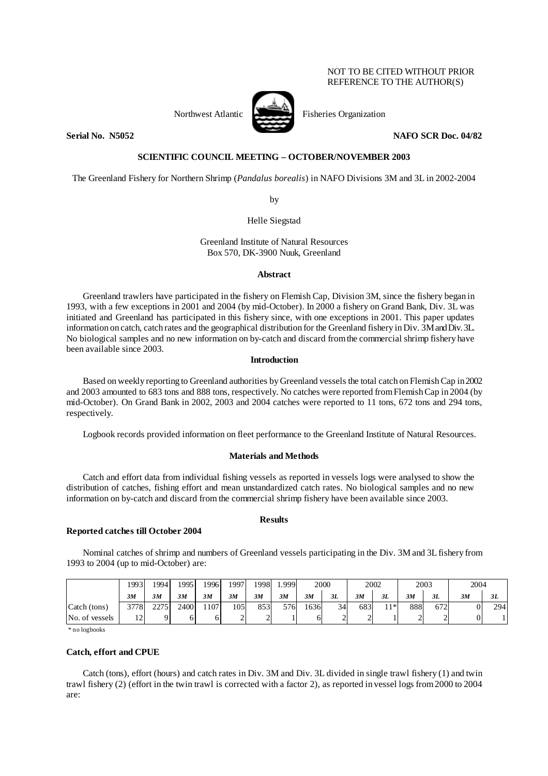### NOT TO BE CITED WITHOUT PRIOR REFERENCE TO THE AUTHOR(S)



Northwest Atlantic  $\Box$  Fisheries Organization

**Serial No. 38052** NAFO SCR Doc. 04/82

# **SCIENTIFIC COUNCIL MEETING – OCTOBER/NOVEMBER 2003**

The Greenland Fishery for Northern Shrimp (*Pandalus borealis*) in NAFO Divisions 3M and 3L in 2002-2004

by

Helle Siegstad

Greenland Institute of Natural Resources Box 570, DK-3900 Nuuk, Greenland

#### **Abstract**

Greenland trawlers have participated in the fishery on Flemish Cap, Division 3M, since the fishery began in 1993, with a few exceptions in 2001 and 2004 (by mid-October). In 2000 a fishery on Grand Bank, Div. 3L was initiated and Greenland has participated in this fishery since, with one exceptions in 2001. This paper updates information on catch, catch rates and the geographical distribution for the Greenland fishery in Div. 3M and Div. 3L. No biological samples and no new information on by-catch and discard from the commercial shrimp fishery have been available since 2003.

# **Introduction**

Based on weekly reporting to Greenland authorities by Greenland vessels the total catch on Flemish Cap in 2002 and 2003 amounted to 683 tons and 888 tons, respectively. No catches were reported from Flemish Cap in 2004 (by mid-October). On Grand Bank in 2002, 2003 and 2004 catches were reported to 11 tons, 672 tons and 294 tons, respectively.

Logbook records provided information on fleet performance to the Greenland Institute of Natural Resources.

#### **Materials and Methods**

Catch and effort data from individual fishing vessels as reported in vessels logs were analysed to show the distribution of catches, fishing effort and mean unstandardized catch rates. No biological samples and no new information on by-catch and discard from the commercial shrimp fishery have been available since 2003.

## **Results**

#### **Reported catches till October 2004**

 Nominal catches of shrimp and numbers of Greenland vessels participating in the Div. 3M and 3L fishery from 1993 to 2004 (up to mid-October) are:

|                | 19931                 | 19941 | 1995 | 1996 | 1997 | 1998 | ا999. | 2000 |    | 2002 |      | 2003 |     | 2004 |     |
|----------------|-----------------------|-------|------|------|------|------|-------|------|----|------|------|------|-----|------|-----|
|                | 3M                    | 3M    | 3M   | 3M   | 3M   | 3M   | 3M    | 3M   | 3L | 3M   | 3L   | 3M   | 3L  | 3M   | 3L  |
| Catch (tons)   | 3778                  | 2275  | 2400 | 107  | 105  | 853  | 576   | 1636 | 34 | 683  | $1*$ | 888  | 672 |      | 294 |
| No. of vessels | 12.<br>$\overline{ }$ |       |      |      |      | -    |       |      |    |      |      |      |     |      |     |

\* no logbooks

### **Catch, effort and CPUE**

 Catch (tons), effort (hours) and catch rates in Div. 3M and Div. 3L divided in single trawl fishery (1) and twin trawl fishery (2) (effort in the twin trawl is corrected with a factor 2), as reported in vessel logs from 2000 to 2004 are: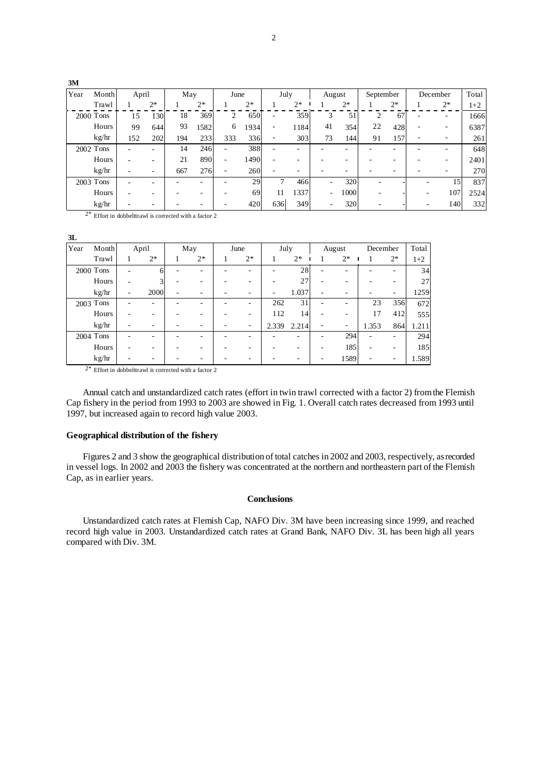| Year | Month       | April |      | May |      | June |      | July |      | August                   |      | September |      | December |      | Total |
|------|-------------|-------|------|-----|------|------|------|------|------|--------------------------|------|-----------|------|----------|------|-------|
|      | Trawl       |       | $2*$ |     | $2*$ |      | $2*$ |      | $2*$ |                          | $2*$ |           | $2*$ |          | $2*$ | $1+2$ |
|      | $2000$ Tons | 15    | 130  | 18  | 369  | 2    | 650  |      | 359  | 3                        | 51   | 2         | 67   |          |      | 1666  |
|      | Hours       | 99    | 644  | 93  | 582  | 6    | 1934 |      | 1184 | 41                       | 354  | 22        | 428  |          |      | 6387  |
|      | kg/hr       | 152   | 202  | 194 | 233  | 333  | 336I |      | 303  | 73                       | 144  | 91        | 157  |          |      | 261   |
|      | $2002$ Tons |       |      | 14  | 246  | ٠    | 388  |      |      |                          |      |           |      |          | -    | 648   |
|      | Hours       |       |      | 21  | 890  | ٠    | 1490 |      |      |                          |      |           |      |          | -    | 2401  |
|      | kg/hr       |       |      | 667 | 276  | ٠    | 260  |      |      |                          |      |           |      |          |      | 270   |
|      | 2003 Tons   |       |      |     | -    |      | 29   | 7    | 466  |                          | 320  |           |      |          | 15   | 837   |
|      | Hours       |       |      |     |      |      | 69   | 11   | 337  | $\overline{\phantom{a}}$ | 1000 |           |      |          | 107  | 2524  |
|      | kg/hr       |       |      |     |      |      | 420  | 636  | 349  |                          | 320  |           |      |          | 140  | 332   |

**3M**

 $2^*$  Effort in dobbelttrawl is corrected with a factor 2

**3L**

| Year          | Month       | April |      | May |      | June |      | July  |       | August |      | December |      | Total |
|---------------|-------------|-------|------|-----|------|------|------|-------|-------|--------|------|----------|------|-------|
|               | Trawl       |       | $2*$ | 1   | $2*$ | -    | $2*$ | 1     | $2*$  |        | $2*$ |          | $2*$ | $1+2$ |
|               | $2000$ Tons | ٠     | 6    |     |      |      |      |       | 28    |        |      |          |      | 34    |
|               | Hours       | ۰     | 3    |     |      |      |      |       | 27    |        |      |          |      | 27    |
|               | kg/hr       | ٠     | 2000 |     |      |      |      | ۰     | 1.037 |        |      |          |      | 1259  |
|               | $2003$ Tons |       |      |     |      |      | ٠    | 262   | 31    |        |      | 23       | 356  | 672   |
|               | Hours       |       |      |     |      |      |      | 112   | 14    |        |      | 17       | 412  | 555   |
|               | kg/hr       |       |      |     |      |      | ٠    | 2.339 | 2.214 |        | -    | 1.353    | 864  | 1.211 |
|               | 2004 Tons   |       |      |     |      |      |      |       | ٠     |        | 294  | ٠        |      | 294   |
|               | Hours       |       |      |     |      |      |      |       |       |        | 185  |          |      | 185   |
| $\sim$ $\sim$ | kg/hr       |       |      |     |      |      |      |       |       |        | 1589 |          |      | 1.589 |

 $2*$  Effort in dobbelttrawl is corrected with a factor 2

 Annual catch and unstandardized catch rates (effort in twin trawl corrected with a factor 2) from the Flemish Cap fishery in the period from 1993 to 2003 are showed in Fig. 1. Overall catch rates decreased from 1993 until 1997, but increased again to record high value 2003.

# **Geographical distribution of the fishery**

Figures 2 and 3 show the geographical distribution of total catches in 2002 and 2003, respectively, as recorded in vessel logs. In 2002 and 2003 the fishery was concentrated at the northern and northeastern part of the Flemish Cap, as in earlier years.

#### **Conclusions**

Unstandardized catch rates at Flemish Cap, NAFO Div. 3M have been increasing since 1999, and reached record high value in 2003. Unstandardized catch rates at Grand Bank, NAFO Div. 3L has been high all years compared with Div. 3M.